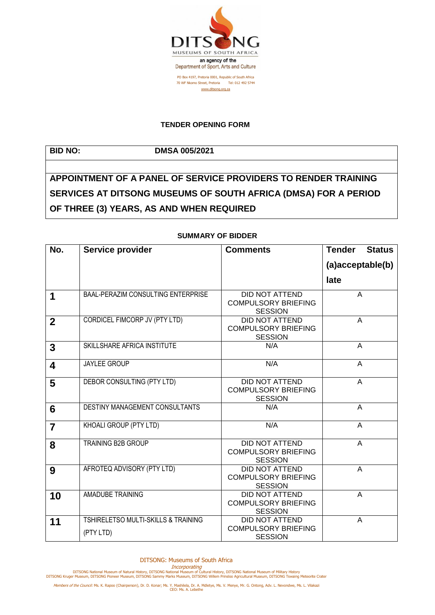

## **TENDER OPENING FORM**

**BID NO: DMSA 005/2021**

**APPOINTMENT OF A PANEL OF SERVICE PROVIDERS TO RENDER TRAINING SERVICES AT DITSONG MUSEUMS OF SOUTH AFRICA (DMSA) FOR A PERIOD OF THREE (3) YEARS, AS AND WHEN REQUIRED**

| No.            | Service provider                                            | <b>Comments</b>                                                       | <b>Tender</b>    | <b>Status</b> |
|----------------|-------------------------------------------------------------|-----------------------------------------------------------------------|------------------|---------------|
|                |                                                             |                                                                       | (a)acceptable(b) |               |
|                |                                                             |                                                                       | late             |               |
| 1              | BAAL-PERAZIM CONSULTING ENTERPRISE                          | <b>DID NOT ATTEND</b><br><b>COMPULSORY BRIEFING</b><br><b>SESSION</b> | A                |               |
| $\mathbf{2}$   | CORDICEL FIMCORP JV (PTY LTD)                               | <b>DID NOT ATTEND</b><br><b>COMPULSORY BRIEFING</b><br><b>SESSION</b> | A                |               |
| 3              | SKILLSHARE AFRICA INSTITUTE                                 | N/A                                                                   | $\overline{A}$   |               |
| 4              | JAYLEE GROUP                                                | N/A                                                                   | A                |               |
| 5              | DEBOR CONSULTING (PTY LTD)                                  | <b>DID NOT ATTEND</b><br><b>COMPULSORY BRIEFING</b><br><b>SESSION</b> | A                |               |
| 6              | DESTINY MANAGEMENT CONSULTANTS                              | N/A                                                                   | $\overline{A}$   |               |
| $\overline{7}$ | KHOALI GROUP (PTY LTD)                                      | N/A                                                                   | A                |               |
| 8              | <b>TRAINING B2B GROUP</b>                                   | DID NOT ATTEND<br><b>COMPULSORY BRIEFING</b><br><b>SESSION</b>        | A                |               |
| 9              | AFROTEQ ADVISORY (PTY LTD)                                  | <b>DID NOT ATTEND</b><br><b>COMPULSORY BRIEFING</b><br><b>SESSION</b> | A                |               |
| 10             | AMADUBE TRAINING                                            | <b>DID NOT ATTEND</b><br><b>COMPULSORY BRIEFING</b><br><b>SESSION</b> | A                |               |
| 11             | <b>TSHIRELETSO MULTI-SKILLS &amp; TRAINING</b><br>(PTY LTD) | DID NOT ATTEND<br><b>COMPULSORY BRIEFING</b><br><b>SESSION</b>        | A                |               |

## **SUMMARY OF BIDDER**

DITSONG: Museums of South Africa

Incorporating<br>DITSONG National Museum of Natural History, DITSONG National Museum of Military History<br>DITSONG Kruger Museum, DITSONG Pioneer Museum, DITSONG Sammy Marks Museum, DITSONG Willem Prinsloo Agricultural Museum,

Members of the Council: Ms. K. Rapoo (Chairperson), Dr. D. Konar; Ms. Y. Mashilela, Dr. A. Mdletye, Ms. V. Menye, Mr. G. Ontong, Adv. L. Nevondwe, Ms. L. Vilakazi<br>CEO: Ms. A. Lebethe